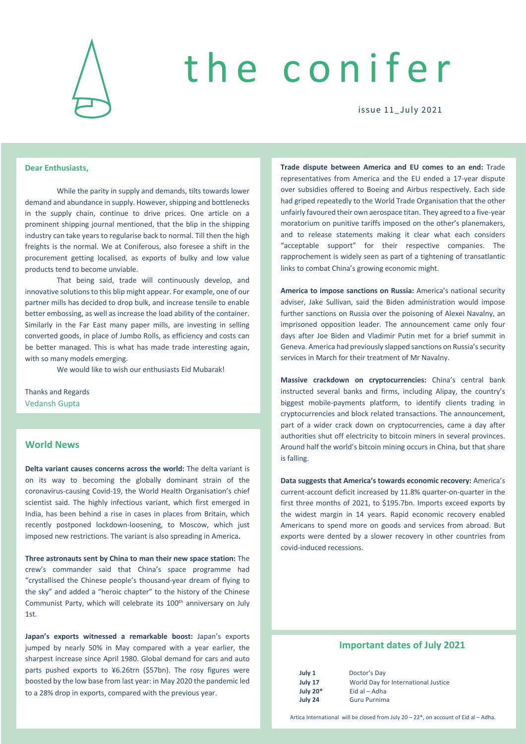

# the conifer

issue 11\_July 2021

### **Dear Enthusiasts,**

While the parity in supply and demands, tilts towards lower demand and abundance in supply. However, shipping and bottlenecks in the supply chain, continue to drive prices. One article on a prominent shipping journal mentioned, that the blip in the shipping industry can take years to regularise back to normal. Till then the high freights is the normal. We at Coniferous, also foresee a shift in the procurement getting localised, as exports of bulky and low value products tend to become unviable.

That being said, trade will continuously develop, and innovative solutions to this blip might appear. For example, one of our partner mills has decided to drop bulk, and increase tensile to enable better embossing, as well as increase the load ability of the container. Similarly in the Far East many paper mills, are investing in selling converted goods, in place of Jumbo Rolls, as efficiency and costs can be better managed. This is what has made trade interesting again, with so many models emerging.

We would like to wish our enthusiasts Eid Mubarak!

Thanks and Regards Vedansh Gupta

## **World News**

**Delta variant causes concerns across the world:** The delta variant is on its way to becoming the globally dominant strain of the coronavirus-causing Covid-19, the World Health Organisation's chief scientist said. The highly infectious variant, which first emerged in India, has been behind a rise in cases in places from Britain, which recently postponed lockdown-loosening, to Moscow, which just imposed new restrictions. The variant is also spreading in America**.**

**Three astronauts sent by China to man their new space station:** The crew's commander said that China's space programme had "crystallised the Chinese people's thousand-year dream of flying to the sky" and added a "heroic chapter" to the history of the Chinese Communist Party, which will celebrate its 100<sup>th</sup> anniversary on July 1st.

**Japan's exports witnessed a remarkable boost:** Japan's exports jumped by nearly 50% in May compared with a year earlier, the sharpest increase since April 1980. Global demand for cars and auto parts pushed exports to ¥6.26trn (\$57bn). The rosy figures were boosted by the low base from last year: in May 2020 the pandemic led to a 28% drop in exports, compared with the previous year.

**Trade dispute between America and EU comes to an end:** Trade representatives from America and the EU ended a 17-year dispute over subsidies offered to Boeing and Airbus respectively. Each side had griped repeatedly to the World Trade Organisation that the other unfairly favoured their own aerospace titan. They agreed to a five-year moratorium on punitive tariffs imposed on the other's planemakers, and to release statements making it clear what each considers "acceptable support" for their respective companies. The rapprochement is widely seen as part of a tightening of transatlantic links to combat China's growing economic might.

**America to impose sanctions on Russia:** America's national security adviser, Jake Sullivan, said the Biden administration would impose further sanctions on Russia over the poisoning of Alexei Navalny, an imprisoned opposition leader. The announcement came only four days after Joe Biden and Vladimir Putin met for a brief summit in Geneva. America had previously slapped sanctions on Russia's security services in March for their treatment of Mr Navalny.

**Massive crackdown on cryptocurrencies:** China's central bank instructed several banks and firms, including Alipay, the country's biggest mobile-payments platform, to identify clients trading in cryptocurrencies and block related transactions. The announcement, part of a wider crack down on cryptocurrencies, came a day after authorities shut off electricity to bitcoin miners in several provinces. Around half the world's bitcoin mining occurs in China, but that share is falling.

**Data suggests that America's towards economic recovery:** America's current-account deficit increased by 11.8% quarter-on-quarter in the first three months of 2021, to \$195.7bn. Imports exceed exports by the widest margin in 14 years. Rapid economic recovery enabled Americans to spend more on goods and services from abroad. But exports were dented by a slower recovery in other countries from covid-induced recessions.

# **Important dates of July 2021**

| uly 1  |           |
|--------|-----------|
| uly 17 |           |
|        | uly $20*$ |
| uly 24 |           |

**July 1** Doctor's Day **July 17** World Day for International Justice **July 20<sup>\*</sup>** Eid al – Adha **July 24** Guru Purnima

Artica International will be closed from July 20 – 22\*, on account of Eid al – Adha.